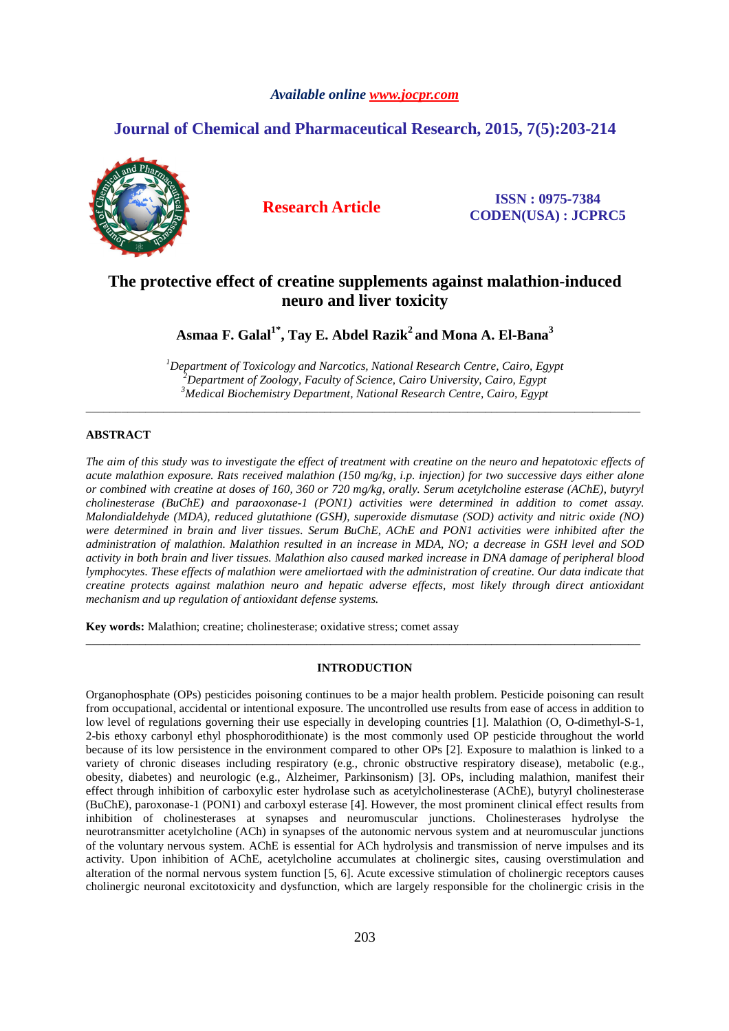# *Available online www.jocpr.com*

# **Journal of Chemical and Pharmaceutical Research, 2015, 7(5):203-214**



**Research Article ISSN : 0975-7384 CODEN(USA) : JCPRC5**

# **The protective effect of creatine supplements against malathion-induced neuro and liver toxicity**

**Asmaa F. Galal1\*, Tay E. Abdel Razik<sup>2</sup>and Mona A. El-Bana<sup>3</sup>**

*<sup>1</sup>Department of Toxicology and Narcotics, National Research Centre, Cairo, Egypt <sup>2</sup>Department of Zoology, Faculty of Science, Cairo University, Cairo, Egypt <sup>3</sup>Medical Biochemistry Department, National Research Centre, Cairo, Egypt* 

\_\_\_\_\_\_\_\_\_\_\_\_\_\_\_\_\_\_\_\_\_\_\_\_\_\_\_\_\_\_\_\_\_\_\_\_\_\_\_\_\_\_\_\_\_\_\_\_\_\_\_\_\_\_\_\_\_\_\_\_\_\_\_\_\_\_\_\_\_\_\_\_\_\_\_\_\_\_\_\_\_\_\_\_\_\_\_\_\_\_\_\_\_

# **ABSTRACT**

*The aim of this study was to investigate the effect of treatment with creatine on the neuro and hepatotoxic effects of acute malathion exposure. Rats received malathion (150 mg/kg, i.p. injection) for two successive days either alone or combined with creatine at doses of 160, 360 or 720 mg/kg, orally. Serum acetylcholine esterase (AChE), butyryl cholinesterase (BuChE) and paraoxonase-1 (PON1) activities were determined in addition to comet assay. Malondialdehyde (MDA), reduced glutathione (GSH), superoxide dismutase (SOD) activity and nitric oxide (NO) were determined in brain and liver tissues. Serum BuChE, AChE and PON1 activities were inhibited after the administration of malathion. Malathion resulted in an increase in MDA, NO; a decrease in GSH level and SOD activity in both brain and liver tissues. Malathion also caused marked increase in DNA damage of peripheral blood lymphocytes. These effects of malathion were ameliortaed with the administration of creatine. Our data indicate that creatine protects against malathion neuro and hepatic adverse effects, most likely through direct antioxidant mechanism and up regulation of antioxidant defense systems.* 

**Key words:** Malathion; creatine; cholinesterase; oxidative stress; comet assay

# **INTRODUCTION**

\_\_\_\_\_\_\_\_\_\_\_\_\_\_\_\_\_\_\_\_\_\_\_\_\_\_\_\_\_\_\_\_\_\_\_\_\_\_\_\_\_\_\_\_\_\_\_\_\_\_\_\_\_\_\_\_\_\_\_\_\_\_\_\_\_\_\_\_\_\_\_\_\_\_\_\_\_\_\_\_\_\_\_\_\_\_\_\_\_\_\_\_\_

Organophosphate (OPs) pesticides poisoning continues to be a major health problem. Pesticide poisoning can result from occupational, accidental or intentional exposure. The uncontrolled use results from ease of access in addition to low level of regulations governing their use especially in developing countries [1]. Malathion (O, O-dimethyl-S-1, 2-bis ethoxy carbonyl ethyl phosphorodithionate) is the most commonly used OP pesticide throughout the world because of its low persistence in the environment compared to other OPs [2]. Exposure to malathion is linked to a variety of chronic diseases including respiratory (e.g., chronic obstructive respiratory disease), metabolic (e.g., obesity, diabetes) and neurologic (e.g., Alzheimer, Parkinsonism) [3]. OPs, including malathion, manifest their effect through inhibition of carboxylic ester hydrolase such as acetylcholinesterase (AChE), butyryl cholinesterase (BuChE), paroxonase-1 (PON1) and carboxyl esterase [4]. However, the most prominent clinical effect results from inhibition of cholinesterases at synapses and neuromuscular junctions. Cholinesterases hydrolyse the neurotransmitter acetylcholine (ACh) in synapses of the autonomic nervous system and at neuromuscular junctions of the voluntary nervous system. AChE is essential for ACh hydrolysis and transmission of nerve impulses and its activity. Upon inhibition of AChE, acetylcholine accumulates at cholinergic sites, causing overstimulation and alteration of the normal nervous system function [5, 6]. Acute excessive stimulation of cholinergic receptors causes cholinergic neuronal excitotoxicity and dysfunction, which are largely responsible for the cholinergic crisis in the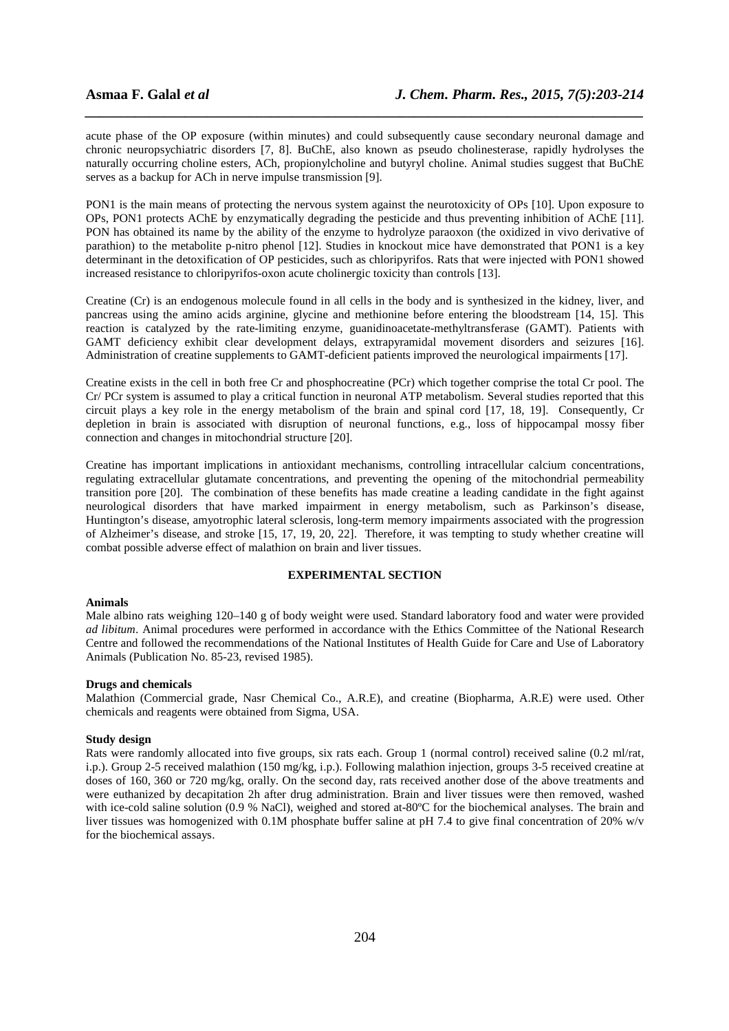acute phase of the OP exposure (within minutes) and could subsequently cause secondary neuronal damage and chronic neuropsychiatric disorders [7, 8]. BuChE, also known as pseudo cholinesterase, rapidly hydrolyses the naturally occurring choline esters, ACh, propionylcholine and butyryl choline. Animal studies suggest that BuChE serves as a backup for ACh in nerve impulse transmission [9].

*\_\_\_\_\_\_\_\_\_\_\_\_\_\_\_\_\_\_\_\_\_\_\_\_\_\_\_\_\_\_\_\_\_\_\_\_\_\_\_\_\_\_\_\_\_\_\_\_\_\_\_\_\_\_\_\_\_\_\_\_\_\_\_\_\_\_\_\_\_\_\_\_\_\_\_\_\_\_*

PON1 is the main means of protecting the nervous system against the neurotoxicity of OPs [10]. Upon exposure to OPs, PON1 protects AChE by enzymatically degrading the pesticide and thus preventing inhibition of AChE [11]. PON has obtained its name by the ability of the enzyme to hydrolyze paraoxon (the oxidized in vivo derivative of parathion) to the metabolite p-nitro phenol [12]. Studies in knockout mice have demonstrated that PON1 is a key determinant in the detoxification of OP pesticides, such as chloripyrifos. Rats that were injected with PON1 showed increased resistance to chloripyrifos-oxon acute cholinergic toxicity than controls [13].

Creatine (Cr) is an endogenous molecule found in all cells in the body and is synthesized in the kidney, liver, and pancreas using the amino acids arginine, glycine and methionine before entering the bloodstream [14, 15]. This reaction is catalyzed by the rate-limiting enzyme, guanidinoacetate-methyltransferase (GAMT). Patients with GAMT deficiency exhibit clear development delays, extrapyramidal movement disorders and seizures [16]. Administration of creatine supplements to GAMT-deficient patients improved the neurological impairments [17].

Creatine exists in the cell in both free Cr and phosphocreatine (PCr) which together comprise the total Cr pool. The Cr/ PCr system is assumed to play a critical function in neuronal ATP metabolism. Several studies reported that this circuit plays a key role in the energy metabolism of the brain and spinal cord [17, 18, 19]. Consequently, Cr depletion in brain is associated with disruption of neuronal functions, e.g., loss of hippocampal mossy fiber connection and changes in mitochondrial structure [20].

Creatine has important implications in antioxidant mechanisms, controlling intracellular calcium concentrations, regulating extracellular glutamate concentrations, and preventing the opening of the mitochondrial permeability transition pore [20]. The combination of these benefits has made creatine a leading candidate in the fight against neurological disorders that have marked impairment in energy metabolism, such as Parkinson's disease, Huntington's disease, amyotrophic lateral sclerosis, long-term memory impairments associated with the progression of Alzheimer's disease, and stroke [15, 17, 19, 20, 22]. Therefore, it was tempting to study whether creatine will combat possible adverse effect of malathion on brain and liver tissues.

# **EXPERIMENTAL SECTION**

## **Animals**

Male albino rats weighing 120–140 g of body weight were used. Standard laboratory food and water were provided *ad libitum*. Animal procedures were performed in accordance with the Ethics Committee of the National Research Centre and followed the recommendations of the National Institutes of Health Guide for Care and Use of Laboratory Animals (Publication No. 85-23, revised 1985).

#### **Drugs and chemicals**

Malathion (Commercial grade, Nasr Chemical Co., A.R.E), and creatine (Biopharma, A.R.E) were used. Other chemicals and reagents were obtained from Sigma, USA.

#### **Study design**

Rats were randomly allocated into five groups, six rats each. Group 1 (normal control) received saline (0.2 ml/rat, i.p.). Group 2-5 received malathion (150 mg/kg, i.p.). Following malathion injection, groups 3-5 received creatine at doses of 160, 360 or 720 mg/kg, orally. On the second day, rats received another dose of the above treatments and were euthanized by decapitation 2h after drug administration. Brain and liver tissues were then removed, washed with ice-cold saline solution (0.9 % NaCl), weighed and stored at-80°C for the biochemical analyses. The brain and liver tissues was homogenized with 0.1M phosphate buffer saline at pH 7.4 to give final concentration of 20% w/v for the biochemical assays.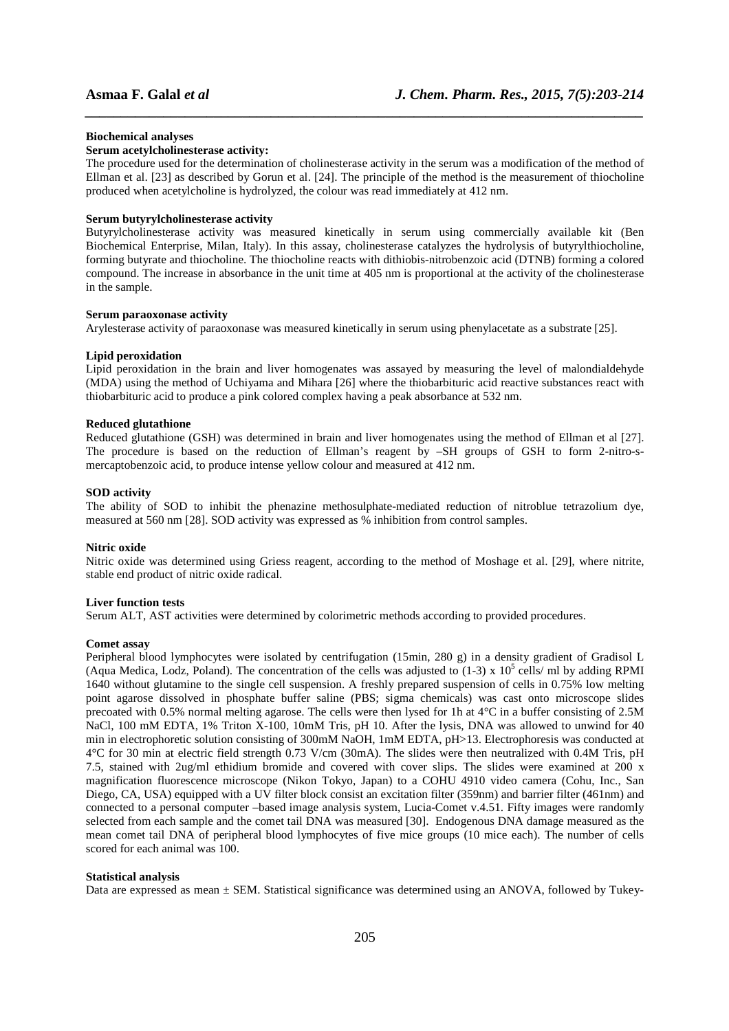#### **Biochemical analyses**

### **Serum acetylcholinesterase activity:**

The procedure used for the determination of cholinesterase activity in the serum was a modification of the method of Ellman et al. [23] as described by Gorun et al. [24]. The principle of the method is the measurement of thiocholine produced when acetylcholine is hydrolyzed, the colour was read immediately at 412 nm.

*\_\_\_\_\_\_\_\_\_\_\_\_\_\_\_\_\_\_\_\_\_\_\_\_\_\_\_\_\_\_\_\_\_\_\_\_\_\_\_\_\_\_\_\_\_\_\_\_\_\_\_\_\_\_\_\_\_\_\_\_\_\_\_\_\_\_\_\_\_\_\_\_\_\_\_\_\_\_*

#### **Serum butyrylcholinesterase activity**

Butyrylcholinesterase activity was measured kinetically in serum using commercially available kit (Ben Biochemical Enterprise, Milan, Italy). In this assay, cholinesterase catalyzes the hydrolysis of butyrylthiocholine, forming butyrate and thiocholine. The thiocholine reacts with dithiobis-nitrobenzoic acid (DTNB) forming a colored compound. The increase in absorbance in the unit time at 405 nm is proportional at the activity of the cholinesterase in the sample.

#### **Serum paraoxonase activity**

Arylesterase activity of paraoxonase was measured kinetically in serum using phenylacetate as a substrate [25].

#### **Lipid peroxidation**

Lipid peroxidation in the brain and liver homogenates was assayed by measuring the level of malondialdehyde (MDA) using the method of Uchiyama and Mihara [26] where the thiobarbituric acid reactive substances react with thiobarbituric acid to produce a pink colored complex having a peak absorbance at 532 nm.

## **Reduced glutathione**

Reduced glutathione (GSH) was determined in brain and liver homogenates using the method of Ellman et al [27]. The procedure is based on the reduction of Ellman's reagent by –SH groups of GSH to form 2-nitro-smercaptobenzoic acid, to produce intense yellow colour and measured at 412 nm.

#### **SOD activity**

The ability of SOD to inhibit the phenazine methosulphate-mediated reduction of nitroblue tetrazolium dye, measured at 560 nm [28]. SOD activity was expressed as % inhibition from control samples.

#### **Nitric oxide**

Nitric oxide was determined using Griess reagent, according to the method of Moshage et al. [29], where nitrite, stable end product of nitric oxide radical.

### **Liver function tests**

Serum ALT, AST activities were determined by colorimetric methods according to provided procedures.

#### **Comet assay**

Peripheral blood lymphocytes were isolated by centrifugation (15min, 280 g) in a density gradient of Gradisol L (Aqua Medica, Lodz, Poland). The concentration of the cells was adjusted to  $(1-3)$  x  $10^5$  cells/ ml by adding RPMI 1640 without glutamine to the single cell suspension. A freshly prepared suspension of cells in 0.75% low melting point agarose dissolved in phosphate buffer saline (PBS; sigma chemicals) was cast onto microscope slides precoated with 0.5% normal melting agarose. The cells were then lysed for 1h at 4°C in a buffer consisting of 2.5M NaCl, 100 mM EDTA, 1% Triton X-100, 10mM Tris, pH 10. After the lysis, DNA was allowed to unwind for 40 min in electrophoretic solution consisting of 300mM NaOH, 1mM EDTA, pH>13. Electrophoresis was conducted at 4°C for 30 min at electric field strength 0.73 V/cm (30mA). The slides were then neutralized with 0.4M Tris, pH 7.5, stained with 2ug/ml ethidium bromide and covered with cover slips. The slides were examined at 200 x magnification fluorescence microscope (Nikon Tokyo, Japan) to a COHU 4910 video camera (Cohu, Inc., San Diego, CA, USA) equipped with a UV filter block consist an excitation filter (359nm) and barrier filter (461nm) and connected to a personal computer –based image analysis system, Lucia-Comet v.4.51. Fifty images were randomly selected from each sample and the comet tail DNA was measured [30]. Endogenous DNA damage measured as the mean comet tail DNA of peripheral blood lymphocytes of five mice groups (10 mice each). The number of cells scored for each animal was 100.

#### **Statistical analysis**

Data are expressed as mean ± SEM. Statistical significance was determined using an ANOVA, followed by Tukey-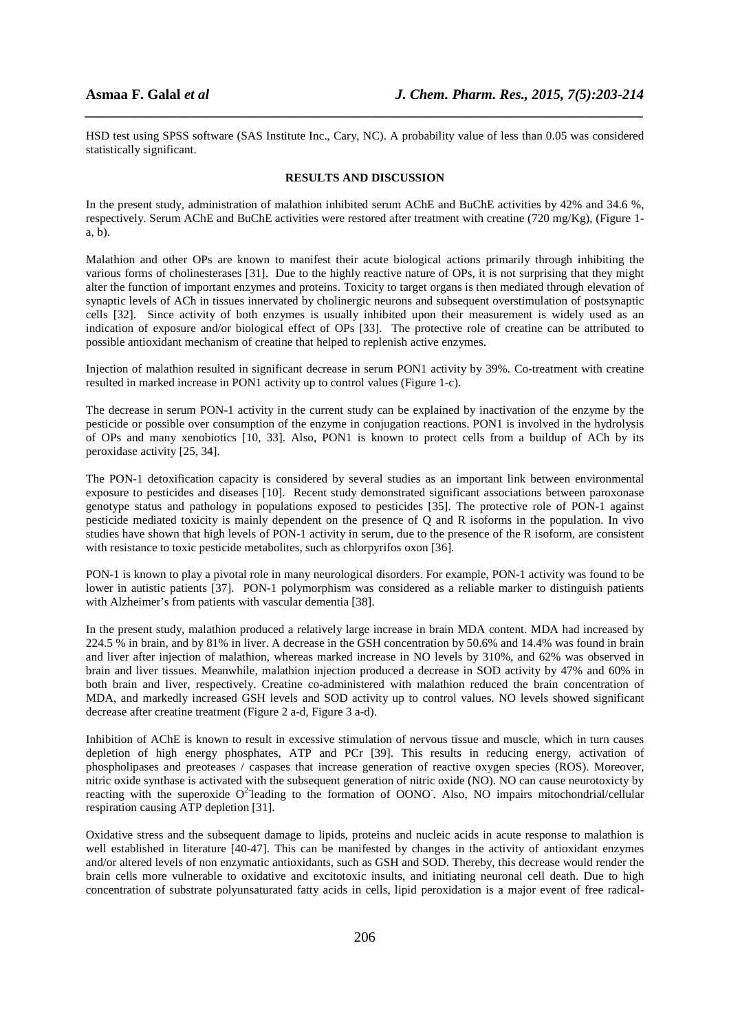HSD test using SPSS software (SAS Institute Inc., Cary, NC). A probability value of less than 0.05 was considered statistically significant.

*\_\_\_\_\_\_\_\_\_\_\_\_\_\_\_\_\_\_\_\_\_\_\_\_\_\_\_\_\_\_\_\_\_\_\_\_\_\_\_\_\_\_\_\_\_\_\_\_\_\_\_\_\_\_\_\_\_\_\_\_\_\_\_\_\_\_\_\_\_\_\_\_\_\_\_\_\_\_*

#### **RESULTS AND DISCUSSION**

In the present study, administration of malathion inhibited serum AChE and BuChE activities by 42% and 34.6 %, respectively. Serum AChE and BuChE activities were restored after treatment with creatine (720 mg/Kg), (Figure 1 a, b).

Malathion and other OPs are known to manifest their acute biological actions primarily through inhibiting the various forms of cholinesterases [31]. Due to the highly reactive nature of OPs, it is not surprising that they might alter the function of important enzymes and proteins. Toxicity to target organs is then mediated through elevation of synaptic levels of ACh in tissues innervated by cholinergic neurons and subsequent overstimulation of postsynaptic cells [32]. Since activity of both enzymes is usually inhibited upon their measurement is widely used as an indication of exposure and/or biological effect of OPs [33]. The protective role of creatine can be attributed to possible antioxidant mechanism of creatine that helped to replenish active enzymes.

Injection of malathion resulted in significant decrease in serum PON1 activity by 39%. Co-treatment with creatine resulted in marked increase in PON1 activity up to control values (Figure 1-c).

The decrease in serum PON-1 activity in the current study can be explained by inactivation of the enzyme by the pesticide or possible over consumption of the enzyme in conjugation reactions. PON1 is involved in the hydrolysis of OPs and many xenobiotics [10, 33]. Also, PON1 is known to protect cells from a buildup of ACh by its peroxidase activity [25, 34].

The PON-1 detoxification capacity is considered by several studies as an important link between environmental exposure to pesticides and diseases [10]. Recent study demonstrated significant associations between paroxonase genotype status and pathology in populations exposed to pesticides [35]. The protective role of PON-1 against pesticide mediated toxicity is mainly dependent on the presence of Q and R isoforms in the population. In vivo studies have shown that high levels of PON-1 activity in serum, due to the presence of the R isoform, are consistent with resistance to toxic pesticide metabolites, such as chlorpyrifos oxon [36].

PON-1 is known to play a pivotal role in many neurological disorders. For example, PON-1 activity was found to be lower in autistic patients [37]. PON-1 polymorphism was considered as a reliable marker to distinguish patients with Alzheimer's from patients with vascular dementia [38].

In the present study, malathion produced a relatively large increase in brain MDA content. MDA had increased by 224.5 % in brain, and by 81% in liver. A decrease in the GSH concentration by 50.6% and 14.4% was found in brain and liver after injection of malathion, whereas marked increase in NO levels by 310%, and 62% was observed in brain and liver tissues. Meanwhile, malathion injection produced a decrease in SOD activity by 47% and 60% in both brain and liver, respectively. Creatine co-administered with malathion reduced the brain concentration of MDA, and markedly increased GSH levels and SOD activity up to control values. NO levels showed significant decrease after creatine treatment (Figure 2 a-d, Figure 3 a-d).

Inhibition of AChE is known to result in excessive stimulation of nervous tissue and muscle, which in turn causes depletion of high energy phosphates, ATP and PCr [39]. This results in reducing energy, activation of phospholipases and preoteases / caspases that increase generation of reactive oxygen species (ROS). Moreover, nitric oxide synthase is activated with the subsequent generation of nitric oxide (NO). NO can cause neurotoxicty by reacting with the superoxide  $O^2$  leading to the formation of OONO. Also, NO impairs mitochondrial/cellular respiration causing ATP depletion [31].

Oxidative stress and the subsequent damage to lipids, proteins and nucleic acids in acute response to malathion is well established in literature [40-47]. This can be manifested by changes in the activity of antioxidant enzymes and/or altered levels of non enzymatic antioxidants, such as GSH and SOD. Thereby, this decrease would render the brain cells more vulnerable to oxidative and excitotoxic insults, and initiating neuronal cell death. Due to high concentration of substrate polyunsaturated fatty acids in cells, lipid peroxidation is a major event of free radical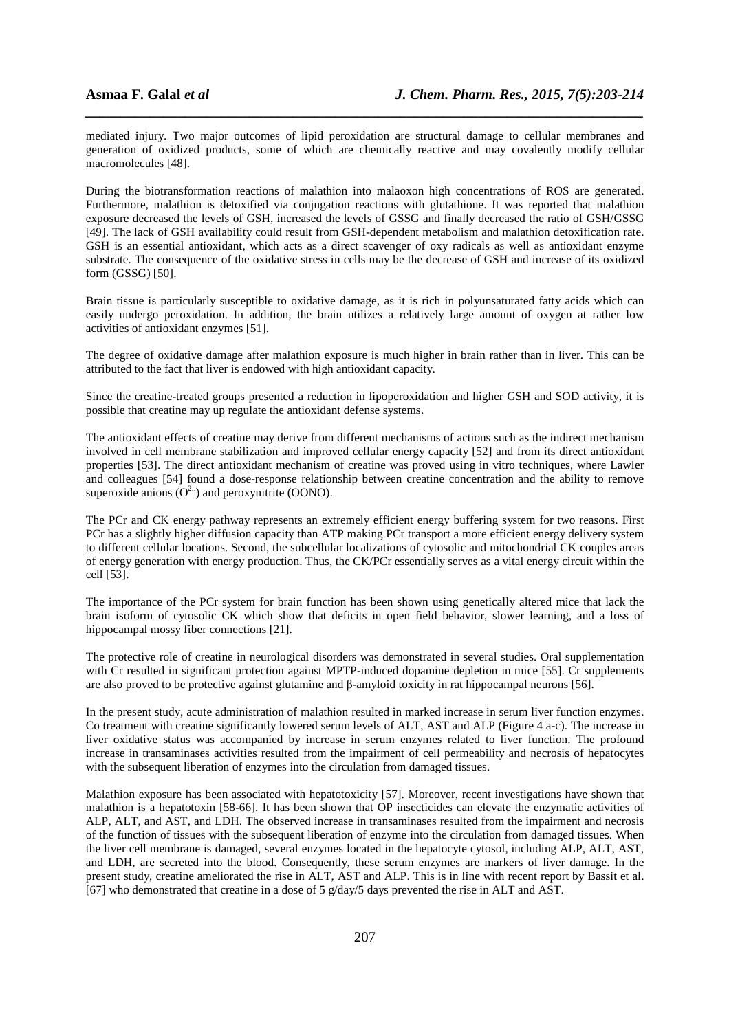mediated injury. Two major outcomes of lipid peroxidation are structural damage to cellular membranes and generation of oxidized products, some of which are chemically reactive and may covalently modify cellular macromolecules [48].

*\_\_\_\_\_\_\_\_\_\_\_\_\_\_\_\_\_\_\_\_\_\_\_\_\_\_\_\_\_\_\_\_\_\_\_\_\_\_\_\_\_\_\_\_\_\_\_\_\_\_\_\_\_\_\_\_\_\_\_\_\_\_\_\_\_\_\_\_\_\_\_\_\_\_\_\_\_\_*

During the biotransformation reactions of malathion into malaoxon high concentrations of ROS are generated. Furthermore, malathion is detoxified via conjugation reactions with glutathione. It was reported that malathion exposure decreased the levels of GSH, increased the levels of GSSG and finally decreased the ratio of GSH/GSSG [49]. The lack of GSH availability could result from GSH-dependent metabolism and malathion detoxification rate. GSH is an essential antioxidant, which acts as a direct scavenger of oxy radicals as well as antioxidant enzyme substrate. The consequence of the oxidative stress in cells may be the decrease of GSH and increase of its oxidized form (GSSG) [50].

Brain tissue is particularly susceptible to oxidative damage, as it is rich in polyunsaturated fatty acids which can easily undergo peroxidation. In addition, the brain utilizes a relatively large amount of oxygen at rather low activities of antioxidant enzymes [51].

The degree of oxidative damage after malathion exposure is much higher in brain rather than in liver. This can be attributed to the fact that liver is endowed with high antioxidant capacity.

Since the creatine-treated groups presented a reduction in lipoperoxidation and higher GSH and SOD activity, it is possible that creatine may up regulate the antioxidant defense systems.

The antioxidant effects of creatine may derive from different mechanisms of actions such as the indirect mechanism involved in cell membrane stabilization and improved cellular energy capacity [52] and from its direct antioxidant properties [53]. The direct antioxidant mechanism of creatine was proved using in vitro techniques, where Lawler and colleagues [54] found a dose-response relationship between creatine concentration and the ability to remove superoxide anions  $(O^{2n})$  and peroxynitrite (OONO).

The PCr and CK energy pathway represents an extremely efficient energy buffering system for two reasons. First PCr has a slightly higher diffusion capacity than ATP making PCr transport a more efficient energy delivery system to different cellular locations. Second, the subcellular localizations of cytosolic and mitochondrial CK couples areas of energy generation with energy production. Thus, the CK/PCr essentially serves as a vital energy circuit within the cell [53].

The importance of the PCr system for brain function has been shown using genetically altered mice that lack the brain isoform of cytosolic CK which show that deficits in open field behavior, slower learning, and a loss of hippocampal mossy fiber connections [21].

The protective role of creatine in neurological disorders was demonstrated in several studies. Oral supplementation with Cr resulted in significant protection against MPTP-induced dopamine depletion in mice [55]. Cr supplements are also proved to be protective against glutamine and β-amyloid toxicity in rat hippocampal neurons [56].

In the present study, acute administration of malathion resulted in marked increase in serum liver function enzymes. Co treatment with creatine significantly lowered serum levels of ALT, AST and ALP (Figure 4 a-c). The increase in liver oxidative status was accompanied by increase in serum enzymes related to liver function. The profound increase in transaminases activities resulted from the impairment of cell permeability and necrosis of hepatocytes with the subsequent liberation of enzymes into the circulation from damaged tissues.

Malathion exposure has been associated with hepatotoxicity [57]. Moreover, recent investigations have shown that malathion is a hepatotoxin [58-66]. It has been shown that OP insecticides can elevate the enzymatic activities of ALP, ALT, and AST, and LDH. The observed increase in transaminases resulted from the impairment and necrosis of the function of tissues with the subsequent liberation of enzyme into the circulation from damaged tissues. When the liver cell membrane is damaged, several enzymes located in the hepatocyte cytosol, including ALP, ALT, AST, and LDH, are secreted into the blood. Consequently, these serum enzymes are markers of liver damage. In the present study, creatine ameliorated the rise in ALT, AST and ALP. This is in line with recent report by Bassit et al. [67] who demonstrated that creatine in a dose of 5 g/day/5 days prevented the rise in ALT and AST.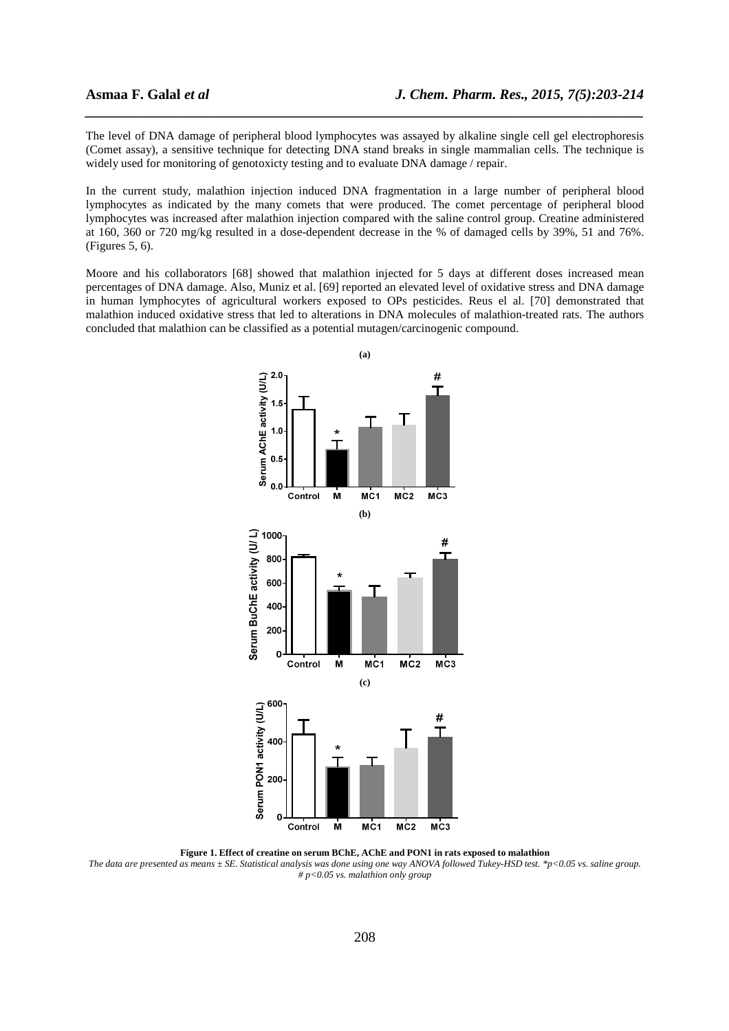The level of DNA damage of peripheral blood lymphocytes was assayed by alkaline single cell gel electrophoresis (Comet assay), a sensitive technique for detecting DNA stand breaks in single mammalian cells. The technique is widely used for monitoring of genotoxicty testing and to evaluate DNA damage / repair.

*\_\_\_\_\_\_\_\_\_\_\_\_\_\_\_\_\_\_\_\_\_\_\_\_\_\_\_\_\_\_\_\_\_\_\_\_\_\_\_\_\_\_\_\_\_\_\_\_\_\_\_\_\_\_\_\_\_\_\_\_\_\_\_\_\_\_\_\_\_\_\_\_\_\_\_\_\_\_*

In the current study, malathion injection induced DNA fragmentation in a large number of peripheral blood lymphocytes as indicated by the many comets that were produced. The comet percentage of peripheral blood lymphocytes was increased after malathion injection compared with the saline control group. Creatine administered at 160, 360 or 720 mg/kg resulted in a dose-dependent decrease in the % of damaged cells by 39%, 51 and 76%. (Figures 5, 6).

Moore and his collaborators [68] showed that malathion injected for 5 days at different doses increased mean percentages of DNA damage. Also, Muniz et al. [69] reported an elevated level of oxidative stress and DNA damage in human lymphocytes of agricultural workers exposed to OPs pesticides. Reus el al. [70] demonstrated that malathion induced oxidative stress that led to alterations in DNA molecules of malathion-treated rats. The authors concluded that malathion can be classified as a potential mutagen/carcinogenic compound.



**Figure 1. Effect of creatine on serum BChE, AChE and PON1 in rats exposed to malathion**  *The data are presented as means ± SE. Statistical analysis was done using one way ANOVA followed Tukey-HSD test. \*p<0.05 vs. saline group. # p<0.05 vs. malathion only group*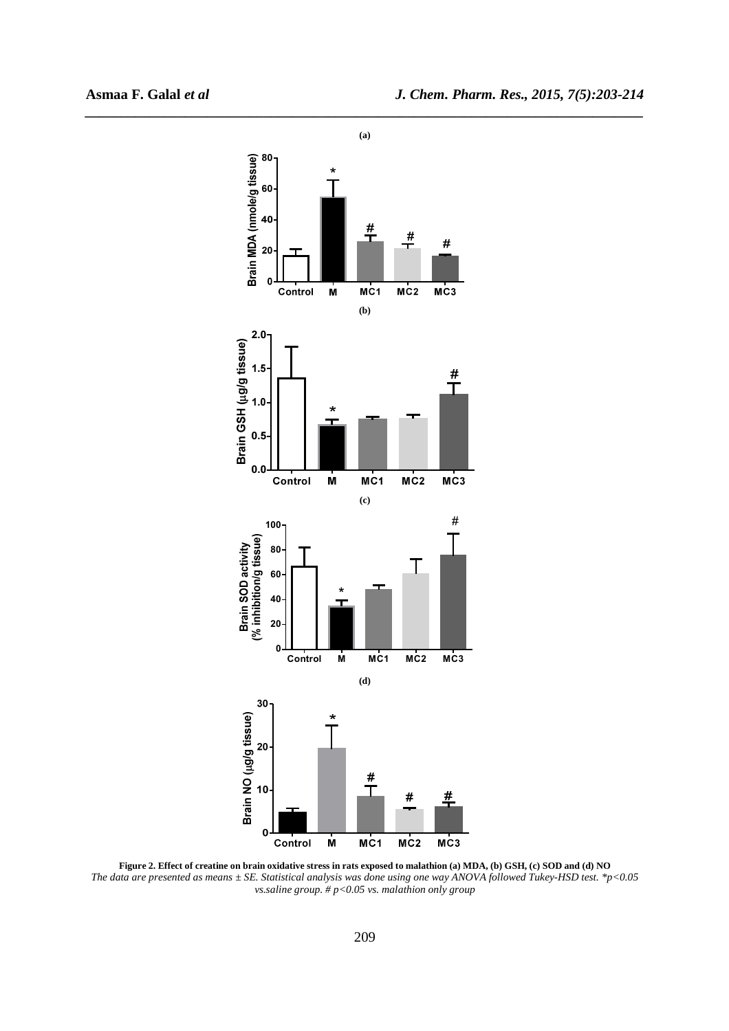

**Figure 2. Effect of creatine on brain oxidative stress in rats exposed to malathion (a) MDA, (b) GSH, (c) SOD and (d) NO**  *The data are presented as means ± SE. Statistical analysis was done using one way ANOVA followed Tukey-HSD test. \*p<0.05 vs.saline group. # p<0.05 vs. malathion only group*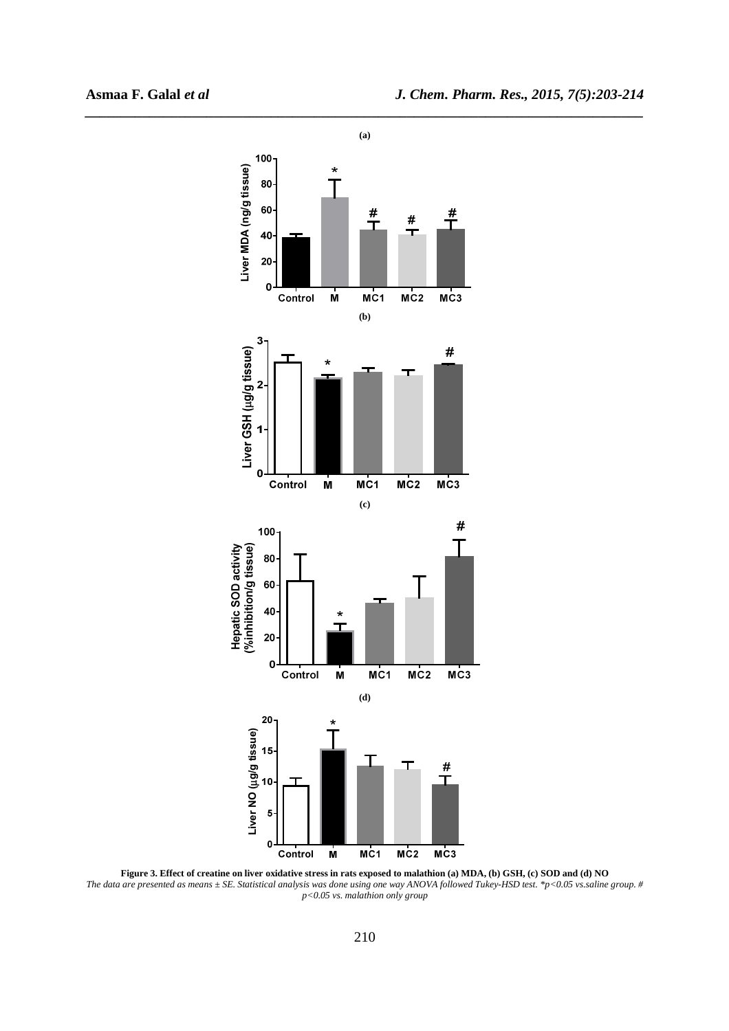

**Figure 3. Effect of creatine on liver oxidative stress in rats exposed to malathion (a) MDA, (b) GSH, (c) SOD and (d) NO**  *The data are presented as means ± SE. Statistical analysis was done using one way ANOVA followed Tukey-HSD test. \*p<0.05 vs.saline group. # p<0.05 vs. malathion only group*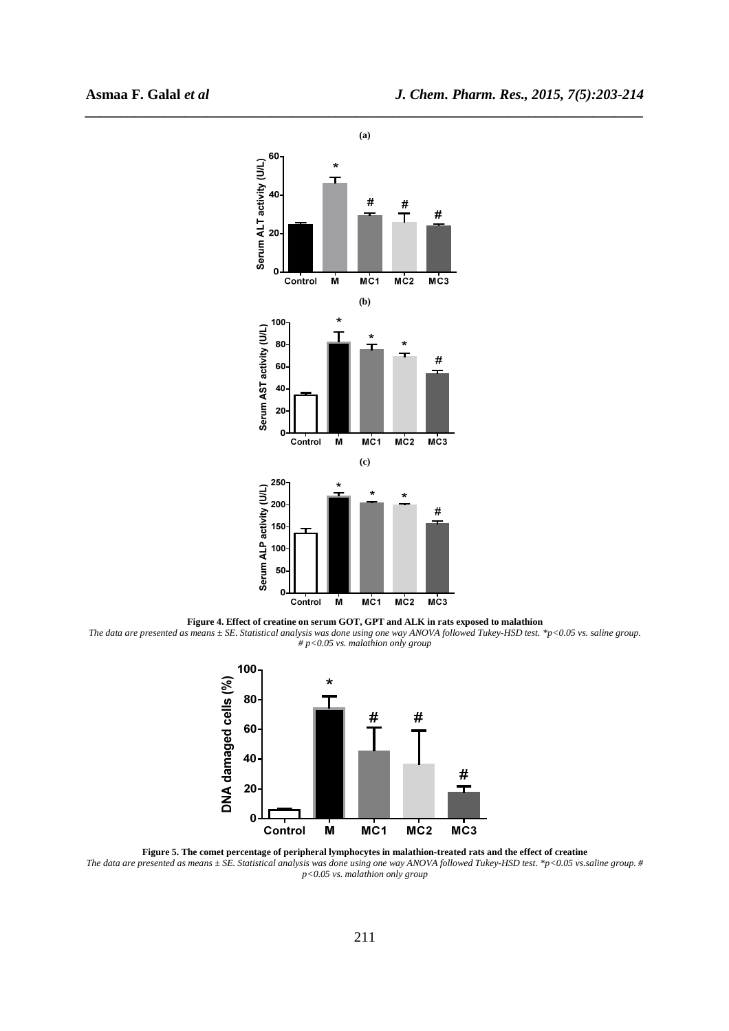

**Figure 4. Effect of creatine on serum GOT, GPT and ALK in rats exposed to malathion**  *The data are presented as means ± SE. Statistical analysis was done using one way ANOVA followed Tukey-HSD test. \*p<0.05 vs. saline group. # p<0.05 vs. malathion only group* 



**Figure 5. The comet percentage of peripheral lymphocytes in malathion-treated rats and the effect of creatine**  *The data are presented as means*  $\pm$  *SE. Statistical analysis was done using one way ANOVA followed Tukey-HSD test. \*p*<0.05 *vs.saline group.* # *p<0.05 vs. malathion only group*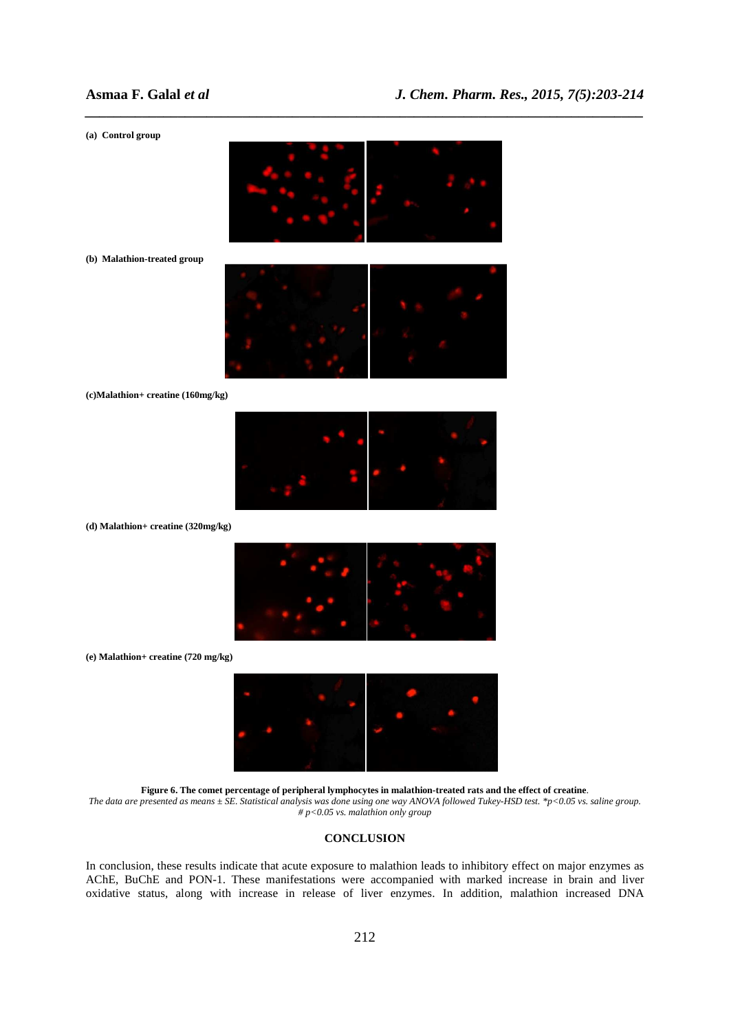# **Asmaa F. Galal** *et al**J. Chem. Pharm. Res., 2015, 7(5):203-214*

#### **(a) Control group**



*\_\_\_\_\_\_\_\_\_\_\_\_\_\_\_\_\_\_\_\_\_\_\_\_\_\_\_\_\_\_\_\_\_\_\_\_\_\_\_\_\_\_\_\_\_\_\_\_\_\_\_\_\_\_\_\_\_\_\_\_\_\_\_\_\_\_\_\_\_\_\_\_\_\_\_\_\_\_*

**(b) Malathion-treated group** 



**(c)Malathion+ creatine (160mg/kg)** 



**(d) Malathion+ creatine (320mg/kg)** 



**(e) Malathion+ creatine (720 mg/kg)** 



**Figure 6. The comet percentage of peripheral lymphocytes in malathion-treated rats and the effect of creatine**. *The data are presented as means ± SE. Statistical analysis was done using one way ANOVA followed Tukey-HSD test. \*p<0.05 vs. saline group. # p<0.05 vs. malathion only group* 

## **CONCLUSION**

In conclusion, these results indicate that acute exposure to malathion leads to inhibitory effect on major enzymes as AChE, BuChE and PON-1. These manifestations were accompanied with marked increase in brain and liver oxidative status, along with increase in release of liver enzymes. In addition, malathion increased DNA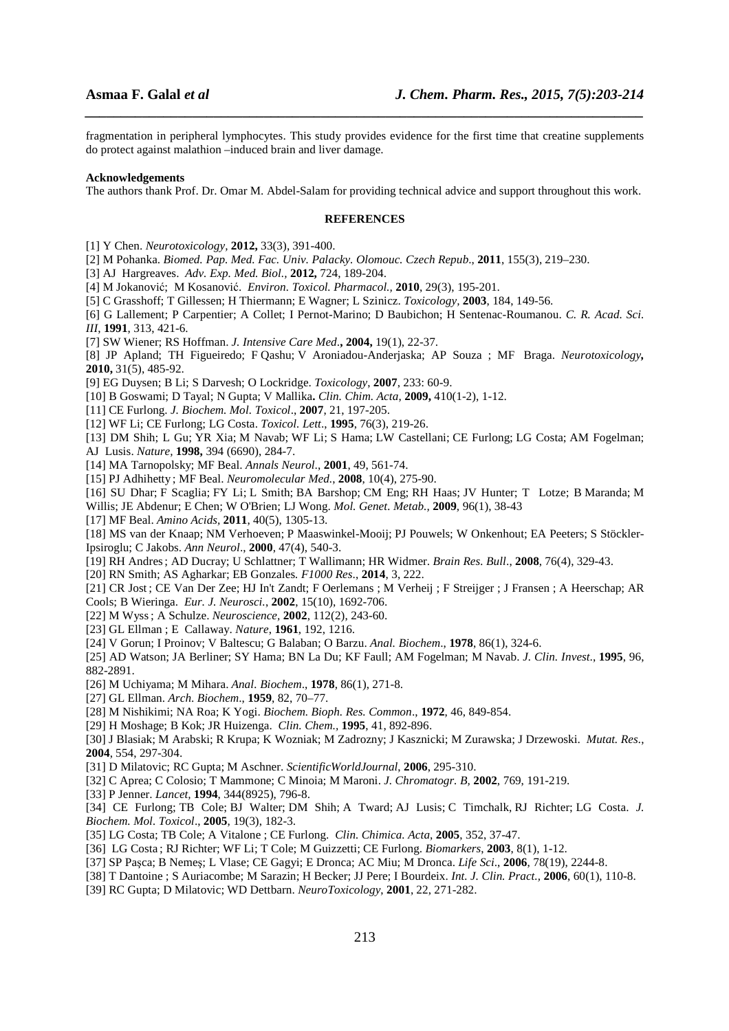fragmentation in peripheral lymphocytes. This study provides evidence for the first time that creatine supplements do protect against malathion –induced brain and liver damage.

*\_\_\_\_\_\_\_\_\_\_\_\_\_\_\_\_\_\_\_\_\_\_\_\_\_\_\_\_\_\_\_\_\_\_\_\_\_\_\_\_\_\_\_\_\_\_\_\_\_\_\_\_\_\_\_\_\_\_\_\_\_\_\_\_\_\_\_\_\_\_\_\_\_\_\_\_\_\_*

#### **Acknowledgements**

The authors thank Prof. Dr. Omar M. Abdel-Salam for providing technical advice and support throughout this work.

#### **REFERENCES**

[1] Y Chen. *Neurotoxicology,* **2012,** 33(3), 391-400.

- [2] M Pohanka. *Biomed. Pap. Med. Fac. Univ. Palacky. Olomouc. Czech Repub*., **2011**, 155(3), 219–230.
- [3] AJHargreaves. *Adv. Exp. Med. Biol.,* **2012,** 724, 189-204.
- [4] M Jokanović; M Kosanović. *Environ. Toxicol. Pharmacol.,* **2010**, 29(3), 195-201.
- [5] C Grasshoff; T Gillessen; H Thiermann; E Wagner; L Szinicz. *Toxicology,* **2003**, 184, 149-56.
- [6] G Lallement; P Carpentier; A Collet; I Pernot-Marino; D Baubichon; H Sentenac-Roumanou. *C. R. Acad. Sci. III*, **1991**, 313, 421-6.
- [7] SW Wiener; RS Hoffman. *J. Intensive Care Med*.**, 2004,** 19(1), 22-37.
- [8] JP Apland; TH Figueiredo; F Qashu; V Aroniadou-Anderjaska; AP Souza ; MF Braga. *Neurotoxicology,* **2010,** 31(5), 485-92.
- [9] EG Duysen; B Li; S Darvesh; O Lockridge. *Toxicology*, **2007**, 233: 60-9.
- [10] B Goswami; D Tayal; N Gupta; V Mallika**.** *Clin. Chim. Acta*, **2009,** 410(1-2), 1-12.
- [11] CE Furlong. *J. Biochem. Mol. Toxicol*., **2007**, 21, 197-205.
- [12] WF Li; CE Furlong; LG Costa. *Toxicol. Lett*., **1995**, 76(3), 219-26.
- [13] DM Shih; L Gu; YR Xia; M Navab; WF Li; S Hama; LW Castellani; CE Furlong; LG Costa; AM Fogelman; AJ Lusis. *Nature,* **1998,** 394 (6690), 284-7.
- [14] MA Tarnopolsky; MF Beal. *Annals Neurol*., **2001**, 49, 561-74.
- [15] PJ Adhihetty ; MF Beal. *Neuromolecular Med.*, **2008**, 10(4), 275-90.
- [16] SU Dhar; F Scaglia; FY Li; L Smith; BA Barshop; CM Eng; RH Haas; JV Hunter; T Lotze; B Maranda; M Willis; JE Abdenur; E Chen; W O'Brien; LJ Wong. *Mol. Genet. Metab.,* **2009**, 96(1), 38-43
- [17] MF Beal. *Amino Acids,* **2011**, 40(5), 1305-13.

[18] MS van der Knaap; NM Verhoeven; P Maaswinkel-Mooij; PJ Pouwels; W Onkenhout; EA Peeters; S Stöckler-Ipsiroglu; C Jakobs. *Ann Neurol*., **2000**, 47(4), 540-3.

- [19] RH Andres; AD Ducray; U Schlattner; T Wallimann; HR Widmer. *Brain Res. Bull*., **2008**, 76(4), 329-43.
- [20] RN Smith; AS Agharkar; EB Gonzales*. F1000 Res*., **2014**, 3, 222.
- [21] CR Jost ; CE Van Der Zee; HJ In't Zandt; F Oerlemans ; M Verheij ; F Streijger ; J Fransen ; A Heerschap; AR
- Cools; B Wieringa. *Eur. J. Neurosci.*, **2002**, 15(10), 1692-706.
- [22] M Wyss; A Schulze. *Neuroscience,* **2002**, 112(2), 243-60.
- [23] GL Ellman ; E Callaway. *Nature*, **1961**, 192, 1216.
- [24] V Gorun; I Proinov; V Baltescu; G Balaban; O Barzu. *Anal. Biochem*., **1978**, 86(1), 324-6.
- [25] AD Watson; JA Berliner; SY Hama; BN La Du; KF Faull; AM Fogelman; M Navab. *J. Clin. Invest*., **1995**, 96, 882-2891.
- [26] M Uchiyama; M Mihara. *Anal. Biochem*., **1978**, 86(1), 271-8.
- [27] GL Ellman. *Arch*. *Biochem*., **1959**, 82, 70–77.
- [28] M Nishikimi; NA Roa; K Yogi. *Biochem. Bioph. Res. Common*., **1972**, 46, 849-854.
- [29] H Moshage; B Kok; JR Huizenga. *Clin. Chem.,* **1995**, 41, 892-896.
- [30] J Blasiak; M Arabski; R Krupa; K Wozniak; M Zadrozny; J Kasznicki; M Zurawska; J Drzewoski. *Mutat. Res.*, **2004**, 554, 297-304.
- [31] D Milatovic; RC Gupta; M Aschner. *ScientificWorldJournal*, **2006**, 295-310.
- [32] C Aprea; C Colosio; T Mammone; C Minoia; M Maroni. *J. Chromatogr. B,* **2002**, 769, 191-219.
- [33] P Jenner. *Lancet,* **1994**, 344(8925), 796-8.
- [34] CE Furlong; TB Cole; BJ Walter; DM Shih; A Tward; AJ Lusis; C Timchalk, RJ Richter; LG Costa. *J. Biochem. Mol. Toxicol*., **2005**, 19(3), 182-3.
- [35] LG Costa; TB Cole; A Vitalone ; CE Furlong. *Clin. Chimica. Acta*, **2005**, 352, 37-47.
- [36] LG Costa ; RJ Richter; WF Li; T Cole; M Guizzetti; CE Furlong. *Biomarkers*, **2003**, 8(1), 1-12.
- [37] SP Paşca; B Nemeş; L Vlase; CE Gagyi; E Dronca; AC Miu; M Dronca. *Life Sci*., **2006**, 78(19), 2244-8.
- [38] T Dantoine ; S Auriacombe; M Sarazin; H Becker; JJ Pere; I Bourdeix. *Int. J. Clin. Pract.,* **2006**, 60(1), 110-8.
- [39] RC Gupta; D Milatovic; WD Dettbarn. *NeuroToxicology*, **2001**, 22, 271-282.